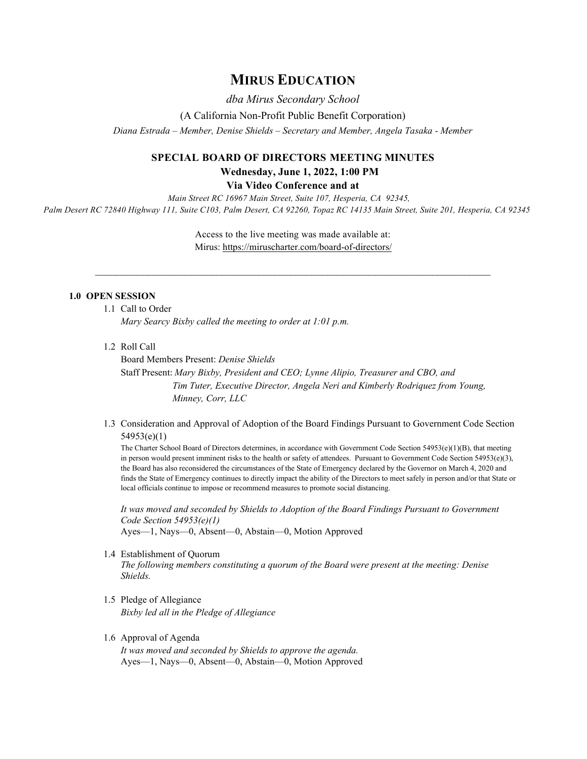## **MIRUS EDUCATION**

*dba Mirus Secondary School*

(A California Non-Profit Public Benefit Corporation)

*Diana Estrada – Member, Denise Shields – Secretary and Member, Angela Tasaka - Member*

# **SPECIAL BOARD OF DIRECTORS MEETING MINUTES Wednesday, June 1, 2022, 1:00 PM**

**Via Video Conference and at**

*Main Street RC 16967 Main Street, Suite 107, Hesperia, CA 92345, Palm Desert RC 72840 Highway 111, Suite C103, Palm Desert, CA 92260, Topaz RC 14135 Main Street, Suite 201, Hesperia, CA 92345*

> Access to the live meeting was made available at: Mirus:<https://miruscharter.com/board-of-directors/>

 $\_$  , and the set of the set of the set of the set of the set of the set of the set of the set of the set of the set of the set of the set of the set of the set of the set of the set of the set of the set of the set of th

#### **1.0 OPEN SESSION**

- 1.1 Call to Order *Mary Searcy Bixby called the meeting to order at 1:01 p.m.*
- 1.2 Roll Call

Board Members Present: *Denise Shields* Staff Present: *Mary Bixby, President and CEO; Lynne Alipio, Treasurer and CBO, and Tim Tuter, Executive Director, Angela Neri and Kimberly Rodriquez from Young, Minney, Corr, LLC*

1.3 Consideration and Approval of Adoption of the Board Findings Pursuant to Government Code Section 54953(e)(1)

The Charter School Board of Directors determines, in accordance with Government Code Section 54953(e)(1)(B), that meeting in person would present imminent risks to the health or safety of attendees. Pursuant to Government Code Section 54953(e)(3), the Board has also reconsidered the circumstances of the State of Emergency declared by the Governor on March 4, 2020 and finds the State of Emergency continues to directly impact the ability of the Directors to meet safely in person and/or that State or local officials continue to impose or recommend measures to promote social distancing.

*It was moved and seconded by Shields to Adoption of the Board Findings Pursuant to Government Code Section 54953(e)(1)* Ayes—1, Nays—0, Absent—0, Abstain—0, Motion Approved

1.4 Establishment of Quorum

*The following members constituting a quorum of the Board were present at the meeting: Denise Shields.* 

1.5 Pledge of Allegiance *Bixby led all in the Pledge of Allegiance*

### 1.6 Approval of Agenda

*It was moved and seconded by Shields to approve the agenda.*  Ayes—1, Nays—0, Absent—0, Abstain—0, Motion Approved